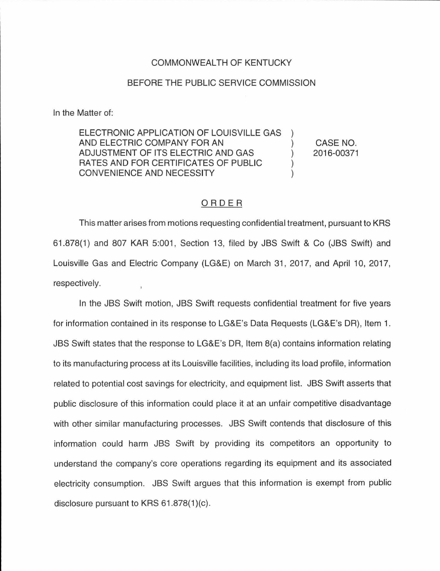## COMMONWEALTH OF KENTUCKY

## BEFORE THE PUBLIC SERVICE COMMISSION

In the Matter of:

ELECTRONIC APPLICATION OF LOUISVILLE GAS AND ELECTRIC COMPANY FOR AN ADJUSTMENT OF ITS ELECTRIC AND GAS ) RATES AND FOR CERTIFICATES OF PUBLIC ) CONVENIENCE AND NECESSITY

CASE NO. 2016-00371

## ORDER

This matter arises from motions requesting confidential treatment, pursuant to KRS 61.878(1) and 807 KAR 5:001 , Section 13, filed by JBS Swift & Co (JBS Swift) and Louisville Gas and Electric Company (LG&E) on March 31, 2017, and April 10, 2017, respectively.

In the JBS Swift motion, JBS Swift requests confidential treatment for five years for information contained in its response to LG&E's Data Requests (LG&E's DR), Item 1. JBS Swift states that the response to LG&E's DR, Item 8(a) contains information relating to its manufacturing process at its Louisville facilities, including its load profile, information related to potential cost savings for electricity, and equipment list. JBS Swift asserts that public disclosure of this information could place it at an unfair competitive disadvantage with other similar manufacturing processes. JBS Swift contends that disclosure of this information could harm JBS Swift by providing its competitors an opportunity to understand the company's core operations regarding its equipment and its associated electricity consumption. JBS Swift argues that this information is exempt from public disclosure pursuant to KRS  $61.878(1)(c)$ .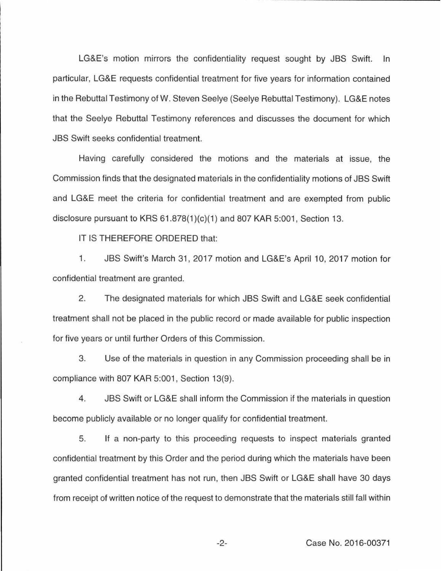LG&E's motion mirrors the confidentiality request sought by JBS Swift. In particular, LG&E requests confidential treatment for five years for information contained in the Rebuttal Testimony of W. Steven Seelye (Seelye Rebuttal Testimony). LG&E notes that the Seelye Rebuttal Testimony references and discusses the document for which JBS Swift seeks confidential treatment.

Having carefully considered the motions and the materials at issue, the Commission finds that the designated materials in the confidentiality motions of JBS Swift and LG&E meet the criteria for confidential treatment and are exempted from public disclosure pursuant to KRS  $61.878(1)(c)(1)$  and  $807$  KAR  $5:001$ , Section 13.

IT IS THEREFORE ORDERED that:

1. JBS Swift's March 31, 2017 motion and LG&E's April 10, 2017 motion for confidential treatment are granted.

2. The designated materials for which JBS Swift and LG&E seek confidential treatment shall not be placed in the public record or made available for public inspection for five years or until further Orders of this Commission.

3. Use of the materials in question in any Commission proceeding shall be in compliance with 807 KAR 5:001, Section 13(9).

4. JBS Swift or LG&E shall inform the Commission if the materials in question become publicly available or no longer qualify for confidential treatment.

5. If a non-party to this proceeding requests to inspect materials granted confidential treatment by this Order and the period during which the materials have been granted confidential treatment has not run, then JBS Swift or LG&E shall have 30 days from receipt of written notice of the request to demonstrate that the materials still fall within

-2- Case No. 2016-00371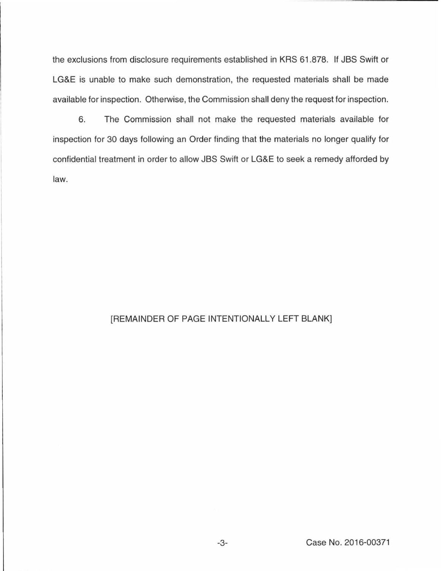the exclusions from disclosure requirements established in KRS 61.878. If JBS Swift or LG&E is unable to make such demonstration, the requested materials shall be made available for inspection. Otherwise, the Commission shall deny the request for inspection.

6. The Commission shall not make the requested materials available for inspection for 30 days following an Order finding that the materials no longer qualify for confidential treatment in order to allow JBS Swift or LG&E to seek a remedy afforded by law.

## [REMAINDER OF PAGE INTENTIONALLY LEFT BLANK]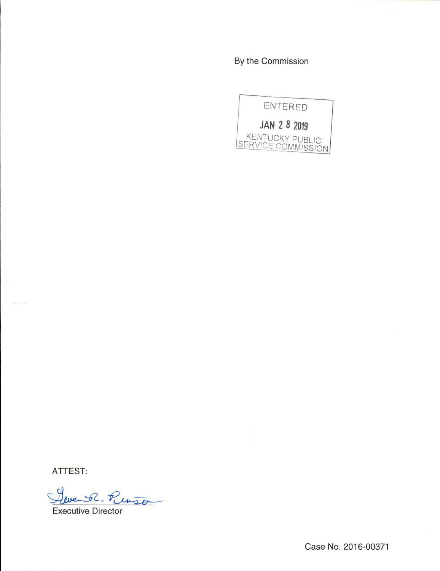By the Commission



ATTEST:

and in the

R. Punson

Executive Director

Case No. 2016-00371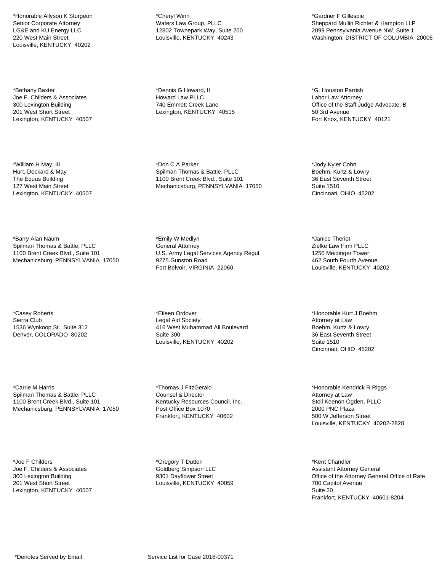\*Honorable Allyson K Sturgeon Senior Corporate Attorney LG&E and KU Energy LLC 220 West Main Street Louisville, KENTUCKY 40202

\*Bethany Baxter Joe F. Childers & Associates 300 Lexington Building 201 West Short Street Lexington, KENTUCKY 40507

\*William H May, III Hurt, Deckard & May The Equus Building 127 West Main Street Lexington, KENTUCKY 40507

\*Barry Alan Naum Spilman Thomas & Battle, PLLC 1100 Brent Creek Blvd., Suite 101 Mechanicsburg, PENNSYLVANIA 17050

\*Casey Roberts Sierra Club 1536 Wynkoop St., Suite 312 Denver, COLORADO 80202

\*Carrie M Harris Spilman Thomas & Battle, PLLC 1100 Brent Creek Blvd., Suite 101 Mechanicsburg, PENNSYLVANIA 17050

\*Joe F Childers Joe F. Childers & Associates 300 Lexington Building 201 West Short Street Lexington, KENTUCKY 40507

\*Cheryl Winn Waters Law Group, PLLC 12802 Townepark Way, Suite 200 Louisville, KENTUCKY 40243

\*Dennis G Howard, II Howard Law PLLC 740 Emmett Creek Lane Lexington, KENTUCKY 40515

\*Don C A Parker Spilman Thomas & Battle, PLLC 1100 Brent Creek Blvd., Suite 101 Mechanicsburg, PENNSYLVANIA 17050

\*Emily W Medlyn General Attorney U.S. Army Legal Services Agency Regul 9275 Gunston Road Fort Belvoir, VIRGINIA 22060

\*Eileen Ordover Legal Aid Society 416 West Muhammad Ali Boulevard Suite 300 Louisville, KENTUCKY 40202

\*Thomas J FitzGerald Counsel & Director Kentucky Resources Council, Inc. Post Office Box 1070 Frankfort, KENTUCKY 40602

\*Gregory T Dutton Goldberg Simpson LLC 9301 Dayflower Street Louisville, KENTUCKY 40059 \*Gardner F Gillespie Sheppard Mullin Richter & Hampton LLP 2099 Pennsylvania Avenue NW, Suite 1 Washington, DISTRICT OF COLUMBIA 20006

\*G. Houston Parrish Labor Law Attorney Office of the Staff Judge Advocate, B 50 3rd Avenue Fort Knox, KENTUCKY 40121

\*Jody Kyler Cohn Boehm, Kurtz & Lowry 36 East Seventh Street Suite 1510 Cincinnati, OHIO 45202

\*Janice Theriot Zielke Law Firm PLLC 1250 Meidinger Tower 462 South Fourth Avenue Louisville, KENTUCKY 40202

\*Honorable Kurt J Boehm Attorney at Law Boehm, Kurtz & Lowry 36 East Seventh Street Suite 1510 Cincinnati, OHIO 45202

\*Honorable Kendrick R Riggs Attorney at Law Stoll Keenon Ogden, PLLC 2000 PNC Plaza 500 W Jefferson Street Louisville, KENTUCKY 40202-2828

\*Kent Chandler Assistant Attorney General Office of the Attorney General Office of Rate 700 Capitol Avenue Suite 20 Frankfort, KENTUCKY 40601-8204